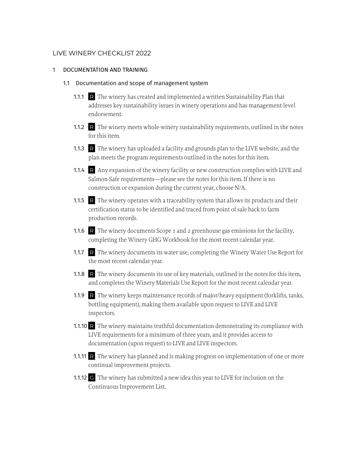## LIVE WINERY CHECKLIST 2022

### 1 DOCUMENTATION AND TRAINING

#### 1.1 Documentation and scope of management system

- 1.1.1 R The winery has created and implemented a written Sustainability Plan that addresses key sustainability issues in winery operations and has management-level endorsement.
- 1.1.2 R The winery meets whole-winery sustainability requirements, outlined in the notes for this item.
- 1.1.3 R The winery has uploaded a facility and grounds plan to the LIVE website, and the plan meets the program requirements outlined in the notes for this item.
- 1.1.4 R Any expansion of the winery facility or new construction complies with LIVE and Salmon-Safe requirements—please see the notes for this item. If there is no construction or expansion during the current year, choose N/A.
- 1.1.5 R The winery operates with a traceability system that allows its products and their certification status to be identified and traced from point of sale back to farm production records.
- 1.1.6 R The winery documents Scope 1 and 2 greenhouse gas emissions for the facility, completing the Winery GHG Workbook for the most recent calendar year.
- 1.1.7 R The winery documents its water use, completing the Winery Water Use Report for the most recent calendar year.
- 1.1.8 R The winery documents its use of key materials, outlined in the notes for this item, and completes the Winery Materials Use Report for the most recent calendar year.
- 1.1.9 R The winery keeps maintenance records of major/heavy equipment (forklifts, tanks, bottling equipment), making them available upon request to LIVE and LIVE inspectors.
- 1.1.10 R The winery maintains truthful documentation demonstrating its compliance with LIVE requirements for a minimum of three years, and it provides access to documentation (upon request) to LIVE and LIVE inspectors.
- 1.1.11 R The winery has planned and is making progress on implementation of one or more continual improvement projects.
- 1.1.12 G The winery has submitted a new idea this year to LIVE for inclusion on the Continuous Improvement List.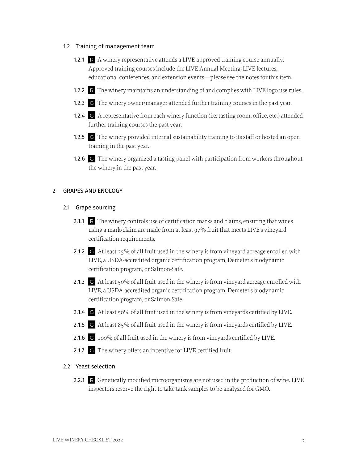#### 1.2 Training of management team

- 1.2.1 R A winery representative attends a LIVE-approved training course annually. Approved training courses include the LIVE Annual Meeting, LIVE lectures, educational conferences, and extension events—please see the notes for this item.
- 1.2.2 R The winery maintains an understanding of and complies with LIVE logo use rules.
- 1.2.3 G The winery owner/manager attended further training courses in the past year.
- 1.2.4 G A representative from each winery function (i.e. tasting room, office, etc.) attended further training courses the past year.
- 1.2.5 G The winery provided internal sustainability training to its staff or hosted an open training in the past year.
- 1.2.6 G The winery organized a tasting panel with participation from workers throughout the winery in the past year.

#### 2 GRAPES AND ENOLOGY

## 2.1 Grape sourcing

- 2.1.1 R The winery controls use of certification marks and claims, ensuring that wines using a mark/claim are made from at least 97% fruit that meets LIVE's vineyard certification requirements.
- 2.1.2 G At least 25% of all fruit used in the winery is from vineyard acreage enrolled with LIVE, a USDA-accredited organic certification program, Demeter's biodynamic certification program, or Salmon-Safe.
- 2.1.3 G At least 50% of all fruit used in the winery is from vineyard acreage enrolled with LIVE, a USDA-accredited organic certification program, Demeter's biodynamic certification program, or Salmon-Safe.
- 2.1.4 G At least 50% of all fruit used in the winery is from vineyards certified by LIVE.
- 2.1.5 G At least 85% of all fruit used in the winery is from vineyards certified by LIVE.
- 2.1.6 G 100% of all fruit used in the winery is from vineyards certified by LIVE.
- 2.1.7 G The winery offers an incentive for LIVE-certified fruit.

### 2.2 Yeast selection

2.2.1 R Genetically modified microorganisms are not used in the production of wine. LIVE inspectors reserve the right to take tank samples to be analyzed for GMO.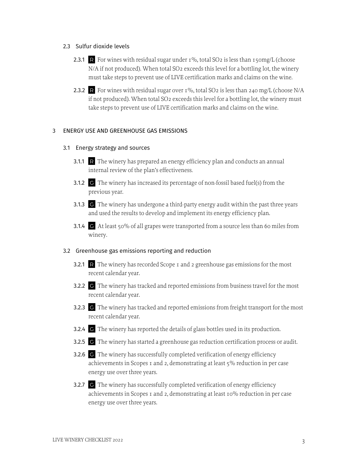### 2.3 Sulfur dioxide levels

- 2.3.1 R For wines with residual sugar under  $1\%$ , total SO2 is less than 150mg/L (choose N/A if not produced). When total SO<sub>2</sub> exceeds this level for a bottling lot, the winery must take steps to prevent use of LIVE certification marks and claims on the wine.
- 2.3.2 R For wines with residual sugar over  $I\%$ , total SO2 is less than 240 mg/L (choose N/A if not produced). When total SO2 exceeds this level for a bottling lot, the winery must take steps to prevent use of LIVE certification marks and claims on the wine.

# 3 ENERGY USE AND GREENHOUSE GAS EMISSIONS

## 3.1 Energy strategy and sources

- 3.1.1 R The winery has prepared an energy efficiency plan and conducts an annual internal review of the plan's effectiveness.
- 3.1.2 G The winery has increased its percentage of non-fossil based fuel(s) from the previous year.
- 3.1.3 G The winery has undergone a third-party energy audit within the past three years and used the results to develop and implement its energy efficiency plan.
- 3.1.4 G At least 50% of all grapes were transported from a source less than 60 miles from winery.

## 3.2 Greenhouse gas emissions reporting and reduction

- 3.2.1 R The winery has recorded Scope 1 and 2 greenhouse gas emissions for the most recent calendar year.
- 3.2.2 G The winery has tracked and reported emissions from business travel for the most recent calendar year.
- 3.2.3 G The winery has tracked and reported emissions from freight transport for the most recent calendar year.
- 3.2.4 G The winery has reported the details of glass bottles used in its production.
- 3.2.5 G The winery has started a greenhouse gas reduction certification process or audit.
- 3.2.6 G The winery has successfully completed verification of energy efficiency achievements in Scopes 1 and 2, demonstrating at least 5% reduction in per case energy use over three years.
- 3.2.7 G The winery has successfully completed verification of energy efficiency achievements in Scopes 1 and 2, demonstrating at least 10% reduction in per case energy use over three years.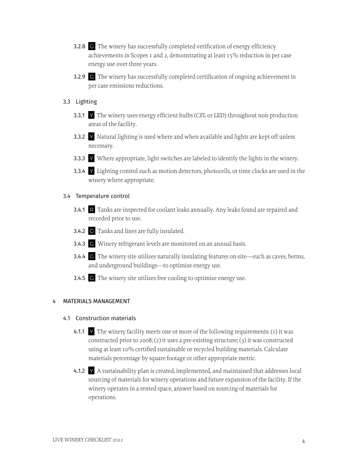- 3.2.8 G The winery has successfully completed verification of energy efficiency achievements in Scopes 1 and 2, demonstrating at least 15% reduction in per case energy use over three years.
- 3.2.9 G The winery has successfully completed certification of ongoing achievement in per case emissions reductions.
- 3.3 Lighting
	- 3.3.1 Y The winery uses energy efficient bulbs (CFL or LED) throughout non-production areas of the facility.
	- 3.3.2 Y Natural lighting is used where and when available and lights are kept off unless necessary.
	- 3.3.3 Y Where appropriate, light switches are labeled to identify the lights in the winery.
	- 3.3.4 Y Lighting control such as motion detectors, photocells, or time clocks are used in the winery where appropriate.

#### 3.4 Temperature control

- 3.4.1 R Tanks are inspected for coolant leaks annually. Any leaks found are repaired and recorded prior to use.
- 3.4.2 G Tanks and lines are fully insulated.
- 3.4.3 G Winery refrigerant levels are monitored on an annual basis.
- 3.4.4 G The winery site utilizes naturally insulating features on-site—such as caves, berms, and underground buildings—to optimize energy use.
- 3.4.5 G The winery site utilizes free cooling to optimize energy use.

#### 4 MATERIALS MANAGEMENT

#### 4.1 Construction materials

- 4.1.1 Y The winery facility meets one or more of the following requirements: (1) it was constructed prior to 2008; (2) it uses a pre-existing structure; (3) it was constructed using at least 10% certified sustainable or recycled building materials. Calculate materials percentage by square footage or other appropriate metric.
- 4.1.2  $\forall$  A sustainability plan is created, implemented, and maintained that addresses local sourcing of materials for winery operations and future expansion of the facility. If the winery operates in a rented space, answer based on sourcing of materials for operations.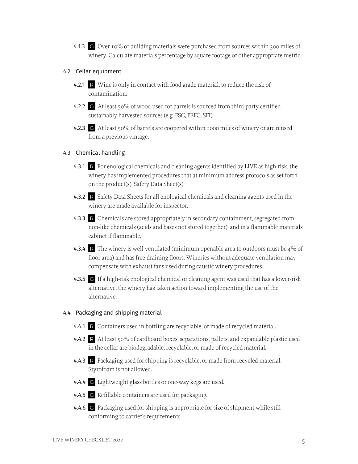4.1.3 G Over 10% of building materials were purchased from sources within 300 miles of winery. Calculate materials percentage by square footage or other appropriate metric.

## 4.2 Cellar equipment

- 4.2.1 R Wine is only in contact with food grade material, to reduce the risk of contamination.
- 4.2.2 G At least 50% of wood used for barrels is sourced from third-party certified sustainably harvested sources (e.g. FSC, PEFC, SFI).
- 4.2.3 G At least 50% of barrels are coopered within 1000 miles of winery or are reused from a previous vintage.

## 4.3 Chemical handling

- 4.3.1 R For enological chemicals and cleaning agents identified by LIVE as high-risk, the winery has implemented procedures that at minimum address protocols as set forth on the product(s)' Safety Data Sheet(s).
- 4.3.2 R Safety Data Sheets for all enological chemicals and cleaning agents used in the winery are made available for inspector.
- 4.3.3 R Chemicals are stored appropriately in secondary containment, segregated from non-like chemicals (acids and bases not stored together), and in a flammable materials cabinet if flammable.
- 4.3.4 R The winery is well-ventilated (minimum openable area to outdoors must be  $4\%$  of floor area) and has free-draining floors. Wineries without adequate ventilation may compensate with exhaust fans used during caustic winery procedures.
- 4.3.5 G If a high-risk enological chemical or cleaning agent was used that has a lower-risk alternative, the winery has taken action toward implementing the use of the alternative.

# 4.4 Packaging and shipping material

- 4.4.1 R Containers used in bottling are recyclable, or made of recycled material.
- 4.4.2 R At least 50% of cardboard boxes, separations, pallets, and expandable plastic used in the cellar are biodegradable, recyclable, or made of recycled material.
- 4.4.3 R Packaging used for shipping is recyclable, or made from recycled material. Styrofoam is not allowed.
- 4.4.4 G Lightweight glass bottles or one-way kegs are used.
- 4.4.5 G Refillable containers are used for packaging.
- 4.4.6 G Packaging used for shipping is appropriate for size of shipment while still conforming to carrier's requirements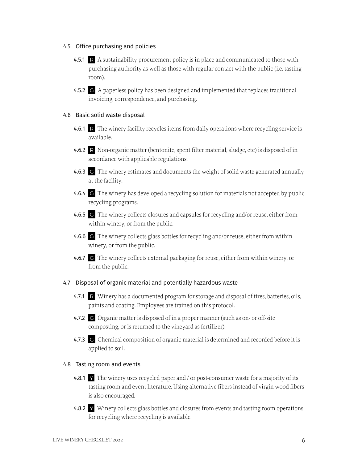#### 4.5 Office purchasing and policies

- 4.5.1 R A sustainability procurement policy is in place and communicated to those with purchasing authority as well as those with regular contact with the public (i.e. tasting room).
- 4.5.2 G A paperless policy has been designed and implemented that replaces traditional invoicing, correspondence, and purchasing.

#### 4.6 Basic solid waste disposal

- 4.6.1 R The winery facility recycles items from daily operations where recycling service is available.
- 4.6.2 R Non-organic matter (bentonite, spent filter material, sludge, etc) is disposed of in accordance with applicable regulations.
- 4.6.3 G The winery estimates and documents the weight of solid waste generated annually at the facility.
- 4.6.4 G The winery has developed a recycling solution for materials not accepted by public recycling programs.
- 4.6.5 G The winery collects closures and capsules for recycling and/or reuse, either from within winery, or from the public.
- 4.6.6 G The winery collects glass bottles for recycling and/or reuse, either from within winery, or from the public.
- 4.6.7 G The winery collects external packaging for reuse, either from within winery, or from the public.

#### 4.7 Disposal of organic material and potentially hazardous waste

- 4.7.1 R Winery has a documented program for storage and disposal of tires, batteries, oils, paints and coating. Employees are trained on this protocol.
- 4.7.2 G Organic matter is disposed of in a proper manner (such as on- or off-site composting, or is returned to the vineyard as fertilizer).
- 4.7.3 G Chemical composition of organic material is determined and recorded before it is applied to soil.

## 4.8 Tasting room and events

- 4.8.1 Y The winery uses recycled paper and / or post-consumer waste for a majority of its tasting room and event literature. Using alternative fibers instead of virgin wood fibers is also encouraged.
- 4.8.2 Y Winery collects glass bottles and closures from events and tasting room operations for recycling where recycling is available.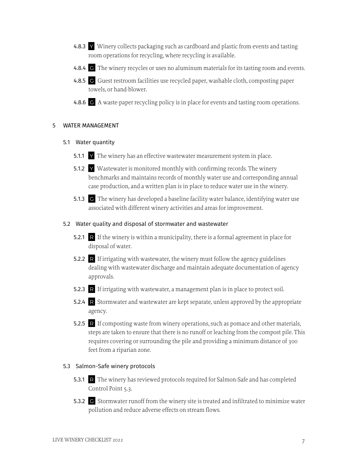- 4.8.3 Y Winery collects packaging such as cardboard and plastic from events and tasting room operations for recycling, where recycling is available.
- 4.8.4 G The winery recycles or uses no aluminum materials for its tasting room and events.
- 4.8.5 G Guest restroom facilities use recycled paper, washable cloth, composting paper towels, or hand-blower.
- 4.8.6 G A waste-paper recycling policy is in place for events and tasting room operations.

#### 5 WATER MANAGEMENT

- 5.1 Water quantity
	- 5.1.1 Y The winery has an effective wastewater measurement system in place.
	- 5.1.2 Y Wastewater is monitored monthly with confirming records. The winery benchmarks and maintains records of monthly water use and corresponding annual case production, and a written plan is in place to reduce water use in the winery.
	- 5.1.3 G The winery has developed a baseline facility water balance, identifying water use associated with different winery activities and areas for improvement.

#### 5.2 Water quality and disposal of stormwater and wastewater

- 5.2.1 R If the winery is within a municipality, there is a formal agreement in place for disposal of water.
- 5.2.2 R If irrigating with wastewater, the winery must follow the agency guidelines dealing with wastewater discharge and maintain adequate documentation of agency approvals.
- 5.2.3 R If irrigating with wastewater, a management plan is in place to protect soil.
- 5.2.4 R Stormwater and wastewater are kept separate, unless approved by the appropriate agency.
- 5.2.5 R If composting waste from winery operations, such as pomace and other materials, steps are taken to ensure that there is no runoff or leaching from the compost pile. This requires covering or surrounding the pile and providing a minimum distance of 300 feet from a riparian zone.

#### 5.3 Salmon-Safe winery protocols

- 5.3.1 R The winery has reviewed protocols required for Salmon-Safe and has completed Control Point 5.3.
- 5.3.2 G Stormwater runoff from the winery site is treated and infiltrated to minimize water pollution and reduce adverse effects on stream flows.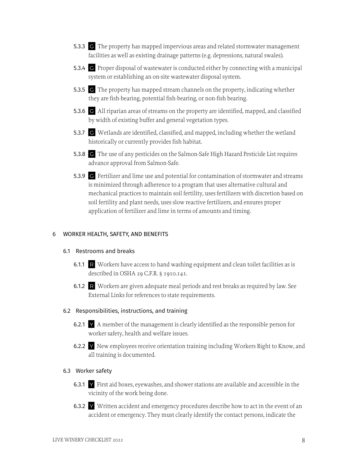- 5.3.3 G The property has mapped impervious areas and related stormwater management facilities as well as existing drainage patterns (e.g. depressions, natural swales).
- 5.3.4 G Proper disposal of wastewater is conducted either by connecting with a municipal system or establishing an on-site wastewater disposal system.
- 5.3.5 G The property has mapped stream channels on the property, indicating whether they are fish-bearing, potential fish-bearing, or non-fish bearing.
- 5.3.6 G All riparian areas of streams on the property are identified, mapped, and classified by width of existing buffer and general vegetation types.
- 5.3.7 G Wetlands are identified, classified, and mapped, including whether the wetland historically or currently provides fish habitat.
- 5.3.8 G The use of any pesticides on the Salmon-Safe High Hazard Pesticide List requires advance approval from Salmon-Safe.
- 5.3.9 G Fertilizer and lime use and potential for contamination of stormwater and streams is minimized through adherence to a program that uses alternative cultural and mechanical practices to maintain soil fertility, uses fertilizers with discretion based on soil fertility and plant needs, uses slow reactive fertilizers, and ensures proper application of fertilizer and lime in terms of amounts and timing.

### 6 WORKER HEALTH, SAFETY, AND BENEFITS

## 6.1 Restrooms and breaks

- 6.1.1 R Workers have access to hand washing equipment and clean toilet facilities as is described in OSHA 29 C.F.R. § 1910.141.
- 6.1.2 R Workers are given adequate meal periods and rest breaks as required by law. See External Links for references to state requirements.

#### 6.2 Responsibilities, instructions, and training

- 6.2.1  $\vee$  A member of the management is clearly identified as the responsible person for worker safety, health and welfare issues.
- 6.2.2 Y New employees receive orientation training including Workers Right to Know, and all training is documented.

## 6.3 Worker safety

- 6.3.1 Y First aid boxes, eyewashes, and shower stations are available and accessible in the vicinity of the work being done.
- 6.3.2 Y Written accident and emergency procedures describe how to act in the event of an accident or emergency. They must clearly identify the contact persons, indicate the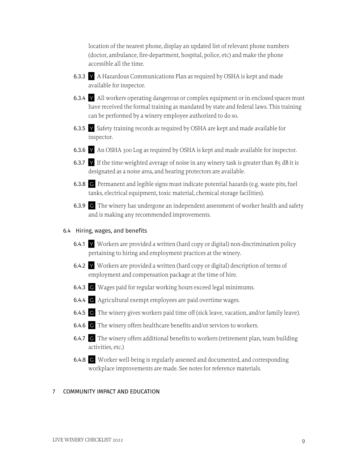location of the nearest phone, display an updated list of relevant phone numbers (doctor, ambulance, fire-department, hospital, police, etc) and make the phone accessible all the time.

- 6.3.3 Y A Hazardous Communications Plan as required by OSHA is kept and made available for inspector.
- 6.3.4 Y All workers operating dangerous or complex equipment or in enclosed spaces must have received the formal training as mandated by state and federal laws. This training can be performed by a winery employee authorized to do so.
- 6.3.5 Y Safety training records as required by OSHA are kept and made available for inspector.
- 6.3.6 Y An OSHA 300 Log as required by OSHA is kept and made available for inspector.
- 6.3.7 Y If the time-weighted average of noise in any winery task is greater than 85 dB it is designated as a noise area, and hearing protectors are available.
- 6.3.8 G Permanent and legible signs must indicate potential hazards (e.g. waste pits, fuel tanks, electrical equipment, toxic material, chemical storage facilities).
- 6.3.9 G The winery has undergone an independent assessment of worker health and safety and is making any recommended improvements.

## 6.4 Hiring, wages, and benefits

- 6.4.1  $\blacktriangleright$  Workers are provided a written (hard copy or digital) non-discrimination policy pertaining to hiring and employment practices at the winery.
- 6.4.2 Y Workers are provided a written (hard copy or digital) description of terms of employment and compensation package at the time of hire.
- 6.4.3 G Wages paid for regular working hours exceed legal minimums.
- 6.4.4 G Agricultural exempt employees are paid overtime wages.
- 6.4.5 G The winery gives workers paid time off (sick leave, vacation, and/or family leave).
- 6.4.6 G The winery offers healthcare benefits and/or services to workers.
- 6.4.7 G The winery offers additional benefits to workers (retirement plan, team building activities, etc.)
- 6.4.8 G Worker well-being is regularly assessed and documented, and corresponding workplace improvements are made. See notes for reference materials.

## 7 COMMUNITY IMPACT AND EDUCATION